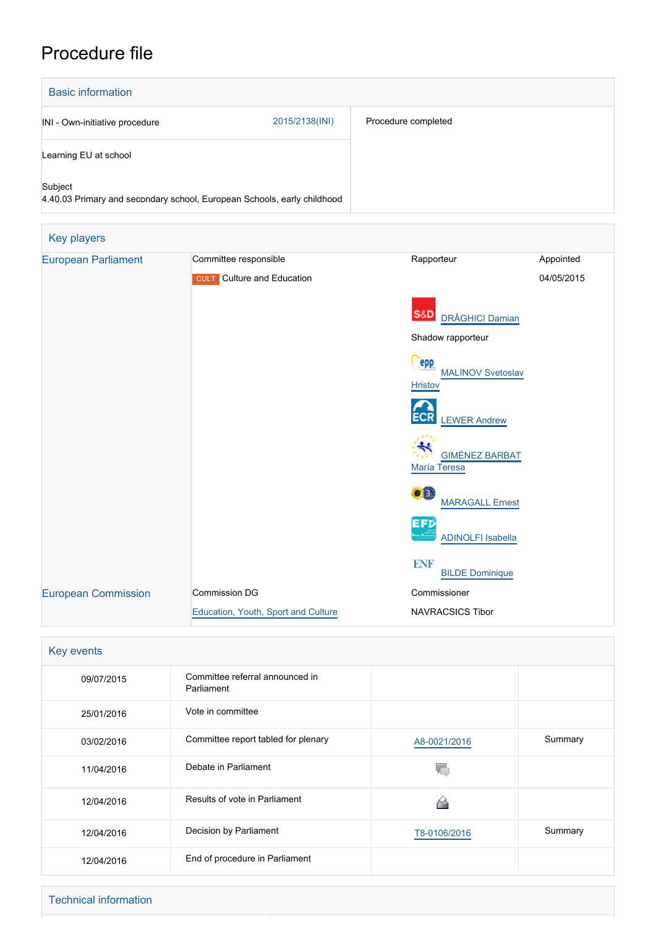## Procedure file

| <b>Basic information</b>       |                                                                         |                                            |            |  |  |  |
|--------------------------------|-------------------------------------------------------------------------|--------------------------------------------|------------|--|--|--|
| INI - Own-initiative procedure | 2015/2138(INI)                                                          | Procedure completed                        |            |  |  |  |
| Learning EU at school          |                                                                         |                                            |            |  |  |  |
| Subject                        | 4.40.03 Primary and secondary school, European Schools, early childhood |                                            |            |  |  |  |
| Key players                    |                                                                         |                                            |            |  |  |  |
| <b>European Parliament</b>     | Committee responsible                                                   | Rapporteur                                 | Appointed  |  |  |  |
|                                | <b>CULT</b> Culture and Education                                       |                                            | 04/05/2015 |  |  |  |
|                                |                                                                         |                                            |            |  |  |  |
|                                |                                                                         | <b>S&amp;D</b><br><b>DRĂGHICI Damian</b>   |            |  |  |  |
|                                |                                                                         | Shadow rapporteur                          |            |  |  |  |
|                                |                                                                         | epp                                        |            |  |  |  |
|                                |                                                                         | <b>MALINOV Svetoslav</b><br><b>Hristov</b> |            |  |  |  |
|                                |                                                                         |                                            |            |  |  |  |
|                                |                                                                         | <b>LEWER Andrew</b>                        |            |  |  |  |
|                                |                                                                         | <b>GIMÉNEZ BARBAT</b>                      |            |  |  |  |
|                                |                                                                         | María Teresa                               |            |  |  |  |
|                                |                                                                         |                                            |            |  |  |  |
|                                |                                                                         | <b>MARAGALL Ernest</b>                     |            |  |  |  |
|                                |                                                                         | EFD<br><b>ADINOLFI Isabella</b>            |            |  |  |  |
|                                |                                                                         |                                            |            |  |  |  |
|                                |                                                                         | ENF<br><b>BILDE Dominique</b>              |            |  |  |  |
| <b>European Commission</b>     | Commission DG                                                           | Commissioner                               |            |  |  |  |
|                                | Education, Youth, Sport and Culture                                     | NAVRACSICS Tibor                           |            |  |  |  |
|                                |                                                                         |                                            |            |  |  |  |
| Key events                     |                                                                         |                                            |            |  |  |  |

| 09/07/2015 | Committee referral announced in<br>Parliament |              |         |
|------------|-----------------------------------------------|--------------|---------|
| 25/01/2016 | Vote in committee                             |              |         |
| 03/02/2016 | Committee report tabled for plenary           | A8-0021/2016 | Summary |
| 11/04/2016 | Debate in Parliament                          |              |         |
| 12/04/2016 | Results of vote in Parliament                 |              |         |
| 12/04/2016 | Decision by Parliament                        | T8-0106/2016 | Summary |
| 12/04/2016 | End of procedure in Parliament                |              |         |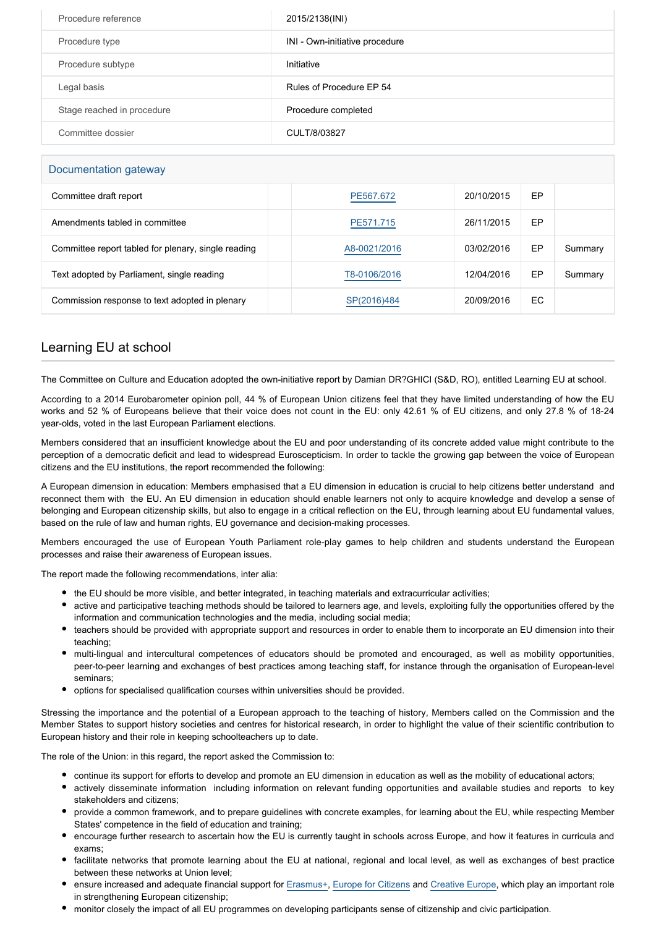| Procedure reference        | 2015/2138(INI)                 |
|----------------------------|--------------------------------|
| Procedure type             | INI - Own-initiative procedure |
| Procedure subtype          | Initiative                     |
| Legal basis                | Rules of Procedure EP 54       |
| Stage reached in procedure | Procedure completed            |
| Committee dossier          | CULT/8/03827                   |

## Documentation gateway

| Committee draft report                              | PE567.672    | 20/10/2015 | EP  |         |
|-----------------------------------------------------|--------------|------------|-----|---------|
| Amendments tabled in committee                      | PE571.715    | 26/11/2015 | EP  |         |
| Committee report tabled for plenary, single reading | A8-0021/2016 | 03/02/2016 | EP  | Summary |
| Text adopted by Parliament, single reading          | T8-0106/2016 | 12/04/2016 | EP  | Summary |
| Commission response to text adopted in plenary      | SP(2016)484  | 20/09/2016 | EC. |         |

## Learning EU at school

The Committee on Culture and Education adopted the own-initiative report by Damian DR?GHICI (S&D, RO), entitled Learning EU at school.

According to a 2014 Eurobarometer opinion poll, 44 % of European Union citizens feel that they have limited understanding of how the EU works and 52 % of Europeans believe that their voice does not count in the EU: only 42.61 % of EU citizens, and only 27.8 % of 18-24 year-olds, voted in the last European Parliament elections.

Members considered that an insufficient knowledge about the EU and poor understanding of its concrete added value might contribute to the perception of a democratic deficit and lead to widespread Euroscepticism. In order to tackle the growing gap between the voice of European citizens and the EU institutions, the report recommended the following:

A European dimension in education: Members emphasised that a EU dimension in education is crucial to help citizens better understand and reconnect them with the EU. An EU dimension in education should enable learners not only to acquire knowledge and develop a sense of belonging and European citizenship skills, but also to engage in a critical reflection on the EU, through learning about EU fundamental values, based on the rule of law and human rights, EU governance and decision-making processes.

Members encouraged the use of European Youth Parliament role-play games to help children and students understand the European processes and raise their awareness of European issues.

The report made the following recommendations, inter alia:

- the EU should be more visible, and better integrated, in teaching materials and extracurricular activities;
- active and participative teaching methods should be tailored to learners age, and levels, exploiting fully the opportunities offered by the information and communication technologies and the media, including social media;
- teachers should be provided with appropriate support and resources in order to enable them to incorporate an EU dimension into their teaching;
- multi-lingual and intercultural competences of educators should be promoted and encouraged, as well as mobility opportunities, peer-to-peer learning and exchanges of best practices among teaching staff, for instance through the organisation of European-level seminars;
- options for specialised qualification courses within universities should be provided.

Stressing the importance and the potential of a European approach to the teaching of history, Members called on the Commission and the Member States to support history societies and centres for historical research, in order to highlight the value of their scientific contribution to European history and their role in keeping schoolteachers up to date.

The role of the Union: in this regard, the report asked the Commission to:

- continue its support for efforts to develop and promote an EU dimension in education as well as the mobility of educational actors;
- actively disseminate information including information on relevant funding opportunities and available studies and reports to key stakeholders and citizens;
- provide a common framework, and to prepare guidelines with concrete examples, for learning about the EU, while respecting Member States' competence in the field of education and training;
- encourage further research to ascertain how the EU is currently taught in schools across Europe, and how it features in curricula and exams;
- facilitate networks that promote learning about the EU at national, regional and local level, as well as exchanges of best practice between these networks at Union level;
- ensure increased and adequate financial support for [Erasmus+,](http://www.europarl.europa.eu/oeil/popups/ficheprocedure.do?reference=2011/0371(COD)&l=en) [Europe for Citizens](http://www.europarl.europa.eu/oeil/popups/ficheprocedure.do?reference=2011/0436(APP)&l=en) and [Creative Europe](http://www.europarl.europa.eu/oeil/popups/ficheprocedure.do?reference=2011/0370(COD)&l=en), which play an important role in strengthening European citizenship:
- monitor closely the impact of all EU programmes on developing participants sense of citizenship and civic participation.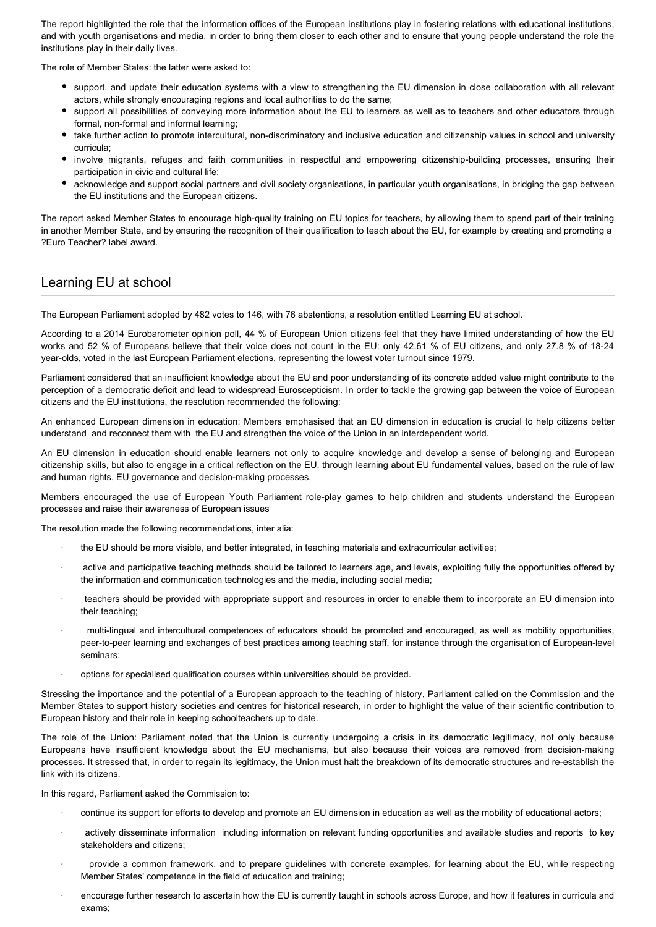The report highlighted the role that the information offices of the European institutions play in fostering relations with educational institutions, and with youth organisations and media, in order to bring them closer to each other and to ensure that young people understand the role the institutions play in their daily lives.

The role of Member States: the latter were asked to:

- support, and update their education systems with a view to strengthening the EU dimension in close collaboration with all relevant actors, while strongly encouraging regions and local authorities to do the same;
- support all possibilities of conveying more information about the EU to learners as well as to teachers and other educators through formal, non-formal and informal learning;
- take further action to promote intercultural, non-discriminatory and inclusive education and citizenship values in school and university curricula;
- involve migrants, refuges and faith communities in respectful and empowering citizenship-building processes, ensuring their participation in civic and cultural life;
- acknowledge and support social partners and civil society organisations, in particular youth organisations, in bridging the gap between the EU institutions and the European citizens.

The report asked Member States to encourage high-quality training on EU topics for teachers, by allowing them to spend part of their training in another Member State, and by ensuring the recognition of their qualification to teach about the EU, for example by creating and promoting a ?Euro Teacher? label award.

## Learning EU at school

The European Parliament adopted by 482 votes to 146, with 76 abstentions, a resolution entitled Learning EU at school.

According to a 2014 Eurobarometer opinion poll, 44 % of European Union citizens feel that they have limited understanding of how the EU works and 52 % of Europeans believe that their voice does not count in the EU: only 42.61 % of EU citizens, and only 27.8 % of 18-24 year-olds, voted in the last European Parliament elections, representing the lowest voter turnout since 1979.

Parliament considered that an insufficient knowledge about the EU and poor understanding of its concrete added value might contribute to the perception of a democratic deficit and lead to widespread Euroscepticism. In order to tackle the growing gap between the voice of European citizens and the EU institutions, the resolution recommended the following:

An enhanced European dimension in education: Members emphasised that an EU dimension in education is crucial to help citizens better understand and reconnect them with the EU and strengthen the voice of the Union in an interdependent world.

An EU dimension in education should enable learners not only to acquire knowledge and develop a sense of belonging and European citizenship skills, but also to engage in a critical reflection on the EU, through learning about EU fundamental values, based on the rule of law and human rights, EU governance and decision-making processes.

Members encouraged the use of European Youth Parliament role-play games to help children and students understand the European processes and raise their awareness of European issues

The resolution made the following recommendations, inter alia:

- the EU should be more visible, and better integrated, in teaching materials and extracurricular activities;
- active and participative teaching methods should be tailored to learners age, and levels, exploiting fully the opportunities offered by the information and communication technologies and the media, including social media;
- · teachers should be provided with appropriate support and resources in order to enable them to incorporate an EU dimension into their teaching;
- · multi-lingual and intercultural competences of educators should be promoted and encouraged, as well as mobility opportunities, peer-to-peer learning and exchanges of best practices among teaching staff, for instance through the organisation of European-level seminars;
- options for specialised qualification courses within universities should be provided.

Stressing the importance and the potential of a European approach to the teaching of history, Parliament called on the Commission and the Member States to support history societies and centres for historical research, in order to highlight the value of their scientific contribution to European history and their role in keeping schoolteachers up to date.

The role of the Union: Parliament noted that the Union is currently undergoing a crisis in its democratic legitimacy, not only because Europeans have insufficient knowledge about the EU mechanisms, but also because their voices are removed from decision-making processes. It stressed that, in order to regain its legitimacy, the Union must halt the breakdown of its democratic structures and re-establish the link with its citizens.

In this regard, Parliament asked the Commission to:

- · continue its support for efforts to develop and promote an EU dimension in education as well as the mobility of educational actors;
- actively disseminate information including information on relevant funding opportunities and available studies and reports to key stakeholders and citizens;
- provide a common framework, and to prepare guidelines with concrete examples, for learning about the EU, while respecting Member States' competence in the field of education and training;
- encourage further research to ascertain how the EU is currently taught in schools across Europe, and how it features in curricula and exams;